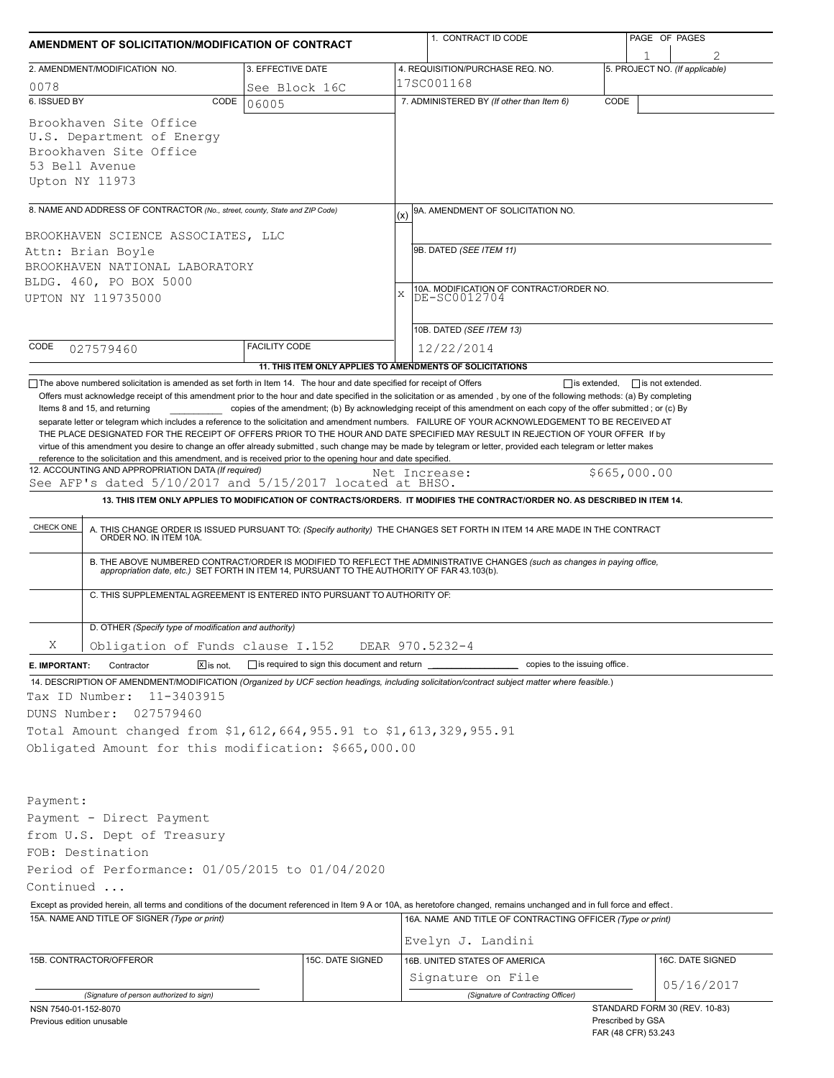| AMENDMENT OF SOLICITATION/MODIFICATION OF CONTRACT                                                                |                      |                                                            |            | 1. CONTRACT ID CODE                                                                                                                                                                                                                                                             |      | PAGE OF PAGES                            |                  |
|-------------------------------------------------------------------------------------------------------------------|----------------------|------------------------------------------------------------|------------|---------------------------------------------------------------------------------------------------------------------------------------------------------------------------------------------------------------------------------------------------------------------------------|------|------------------------------------------|------------------|
| 2. AMENDMENT/MODIFICATION NO.                                                                                     |                      | 3. EFFECTIVE DATE                                          |            | 4. REQUISITION/PURCHASE REQ. NO.                                                                                                                                                                                                                                                |      | 5. PROJECT NO. (If applicable)           |                  |
| 0078                                                                                                              |                      | See Block 16C                                              | 17SC001168 |                                                                                                                                                                                                                                                                                 |      |                                          |                  |
| 6. ISSUED BY                                                                                                      | CODE<br>06005        |                                                            |            | 7. ADMINISTERED BY (If other than Item 6)                                                                                                                                                                                                                                       | CODE |                                          |                  |
| Brookhaven Site Office<br>U.S. Department of Energy<br>Brookhaven Site Office<br>53 Bell Avenue<br>Upton NY 11973 |                      |                                                            |            |                                                                                                                                                                                                                                                                                 |      |                                          |                  |
| 8. NAME AND ADDRESS OF CONTRACTOR (No., street, county, State and ZIP Code)                                       |                      |                                                            | (x)        | 9A. AMENDMENT OF SOLICITATION NO.                                                                                                                                                                                                                                               |      |                                          |                  |
|                                                                                                                   |                      |                                                            |            |                                                                                                                                                                                                                                                                                 |      |                                          |                  |
| BROOKHAVEN SCIENCE ASSOCIATES, LLC<br>Attn: Brian Boyle                                                           |                      |                                                            |            | 9B. DATED (SEE ITEM 11)                                                                                                                                                                                                                                                         |      |                                          |                  |
| BROOKHAVEN NATIONAL LABORATORY                                                                                    |                      |                                                            |            |                                                                                                                                                                                                                                                                                 |      |                                          |                  |
| BLDG. 460, PO BOX 5000                                                                                            |                      |                                                            |            |                                                                                                                                                                                                                                                                                 |      |                                          |                  |
| UPTON NY 119735000                                                                                                |                      |                                                            | X          | 10A. MODIFICATION OF CONTRACT/ORDER NO.<br>DE-SC0012704                                                                                                                                                                                                                         |      |                                          |                  |
|                                                                                                                   |                      |                                                            |            | 10B. DATED (SEE ITEM 13)                                                                                                                                                                                                                                                        |      |                                          |                  |
| CODE<br>027579460                                                                                                 | <b>FACILITY CODE</b> |                                                            |            | 12/22/2014                                                                                                                                                                                                                                                                      |      |                                          |                  |
|                                                                                                                   |                      |                                                            |            | 11. THIS ITEM ONLY APPLIES TO AMENDMENTS OF SOLICITATIONS                                                                                                                                                                                                                       |      |                                          |                  |
| See AFP's dated 5/10/2017 and 5/15/2017 located at BHSO.<br>CHECK ONE                                             |                      |                                                            |            | 13. THIS ITEM ONLY APPLIES TO MODIFICATION OF CONTRACTS/ORDERS. IT MODIFIES THE CONTRACT/ORDER NO. AS DESCRIBED IN ITEM 14.<br>A. THIS CHANGE ORDER IS ISSUED PURSUANT TO: (Specify authority) THE CHANGES SET FORTH IN ITEM 14 ARE MADE IN THE CONTRACT ORDER NO. IN ITEM 10A. |      |                                          |                  |
|                                                                                                                   |                      |                                                            |            | B. THE ABOVE NUMBERED CONTRACT/ORDER IS MODIFIED TO REFLECT THE ADMINISTRATIVE CHANGES (such as changes in paying office,<br>appropriation date, etc.) SET FORTH IN ITEM 14, PURSUANT TO THE AUTHORITY OF FAR 43.103(b).                                                        |      |                                          |                  |
| C. THIS SUPPLEMENTAL AGREEMENT IS ENTERED INTO PURSUANT TO AUTHORITY OF:                                          |                      |                                                            |            |                                                                                                                                                                                                                                                                                 |      |                                          |                  |
| D. OTHER (Specify type of modification and authority)                                                             |                      |                                                            |            |                                                                                                                                                                                                                                                                                 |      |                                          |                  |
| Χ<br>Obligation of Funds clause I.152                                                                             |                      |                                                            |            | DEAR 970.5232-4                                                                                                                                                                                                                                                                 |      |                                          |                  |
| E. IMPORTANT:<br>Contractor                                                                                       | $X$ is not.          | $\Box$ is required to sign this document and return $\Box$ |            | copies to the issuing office.                                                                                                                                                                                                                                                   |      |                                          |                  |
|                                                                                                                   |                      |                                                            |            | 14. DESCRIPTION OF AMENDMENT/MODIFICATION (Organized by UCF section headings, including solicitation/contract subject matter where feasible.)                                                                                                                                   |      |                                          |                  |
| 11-3403915<br>Tax ID Number:                                                                                      |                      |                                                            |            |                                                                                                                                                                                                                                                                                 |      |                                          |                  |
| 027579460<br>DUNS Number:                                                                                         |                      |                                                            |            |                                                                                                                                                                                                                                                                                 |      |                                          |                  |
| Total Amount changed from \$1,612,664,955.91 to \$1,613,329,955.91                                                |                      |                                                            |            |                                                                                                                                                                                                                                                                                 |      |                                          |                  |
| Obligated Amount for this modification: \$665,000.00                                                              |                      |                                                            |            |                                                                                                                                                                                                                                                                                 |      |                                          |                  |
|                                                                                                                   |                      |                                                            |            |                                                                                                                                                                                                                                                                                 |      |                                          |                  |
| Payment:                                                                                                          |                      |                                                            |            |                                                                                                                                                                                                                                                                                 |      |                                          |                  |
| Payment - Direct Payment                                                                                          |                      |                                                            |            |                                                                                                                                                                                                                                                                                 |      |                                          |                  |
| from U.S. Dept of Treasury                                                                                        |                      |                                                            |            |                                                                                                                                                                                                                                                                                 |      |                                          |                  |
| FOB: Destination                                                                                                  |                      |                                                            |            |                                                                                                                                                                                                                                                                                 |      |                                          |                  |
| Period of Performance: 01/05/2015 to 01/04/2020                                                                   |                      |                                                            |            |                                                                                                                                                                                                                                                                                 |      |                                          |                  |
| Continued                                                                                                         |                      |                                                            |            |                                                                                                                                                                                                                                                                                 |      |                                          |                  |
|                                                                                                                   |                      |                                                            |            | Except as provided herein, all terms and conditions of the document referenced in Item 9 A or 10A, as heretofore changed, remains unchanged and in full force and effect.                                                                                                       |      |                                          |                  |
| 15A. NAME AND TITLE OF SIGNER (Type or print)                                                                     |                      |                                                            |            | 16A. NAME AND TITLE OF CONTRACTING OFFICER (Type or print)                                                                                                                                                                                                                      |      |                                          |                  |
|                                                                                                                   |                      |                                                            |            | Evelyn J. Landini                                                                                                                                                                                                                                                               |      |                                          |                  |
| 15B. CONTRACTOR/OFFEROR                                                                                           |                      | 15C. DATE SIGNED                                           |            | 16B. UNITED STATES OF AMERICA                                                                                                                                                                                                                                                   |      |                                          | 16C. DATE SIGNED |
|                                                                                                                   |                      |                                                            |            | Signature on File                                                                                                                                                                                                                                                               |      |                                          | 05/16/2017       |
| (Signature of person authorized to sign)                                                                          |                      |                                                            |            | (Signature of Contracting Officer)                                                                                                                                                                                                                                              |      | STANDARD FORM 30 (REV. 10-83)            |                  |
| NSN 7540-01-152-8070<br>Previous edition unusable                                                                 |                      |                                                            |            |                                                                                                                                                                                                                                                                                 |      | Prescribed by GSA<br>FAR (48 CFR) 53.243 |                  |